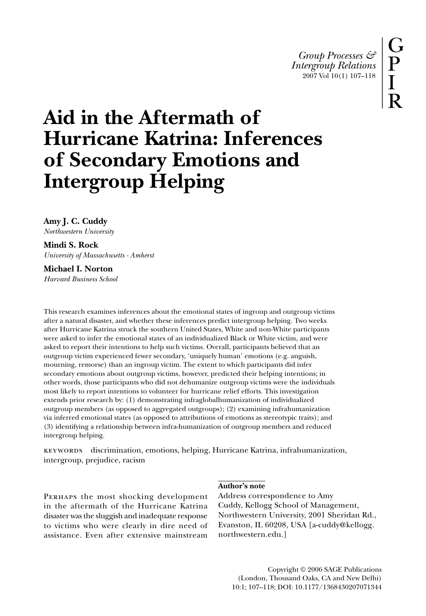*Group Processes & Intergroup Relations* 2007 Vol 10(1) 107–118

# **Aid in the Aftermath of Hurricane Katrina: Inferences of Secondary Emotions and Intergroup Helping**

**Amy J. C. Cuddy** *Northwestern University*

**Mindi S. Rock** *University of Massachusetts - Amherst*

**Michael I. Norton** *Harvard Business School* 

This research examines inferences about the emotional states of ingroup and outgroup victims after a natural disaster, and whether these inferences predict intergroup helping. Two weeks after Hurricane Katrina struck the southern United States, White and non-White participants were asked to infer the emotional states of an individualized Black or White victim, and were asked to report their intentions to help such victims. Overall, participants believed that an outgroup victim experienced fewer secondary, 'uniquely human' emotions (e.g. anguish, mourning, remorse) than an ingroup victim. The extent to which participants did infer secondary emotions about outgroup victims, however, predicted their helping intentions; in other words, those participants who did not dehumanize outgroup victims were the individuals most likely to report intentions to volunteer for hurricane relief efforts. This investigation extends prior research by: (1) demonstrating infraglobalhumanization of individualized outgroup members (as opposed to aggregated outgroups); (2) examining infrahumanization via inferred emotional states (as opposed to attributions of emotions as stereotypic traits); and (3) identifying a relationship between infra-humanization of outgroup members and reduced intergroup helping.

keywords discrimination, emotions, helping, Hurricane Katrina, infrahumanization, intergroup, prejudice, racism

PERHAPS the most shocking development in the aftermath of the Hurricane Katrina disaster was the sluggish and inadequate response to victims who were clearly in dire need of assistance. Even after extensive mainstream

#### **Author's note**

Address correspondence to Amy Cuddy, Kellogg School of Management, Northwestern University, 2001 Sheridan Rd., Evanston, IL 60208, USA [a-cuddy@kellogg. northwestern.edu.]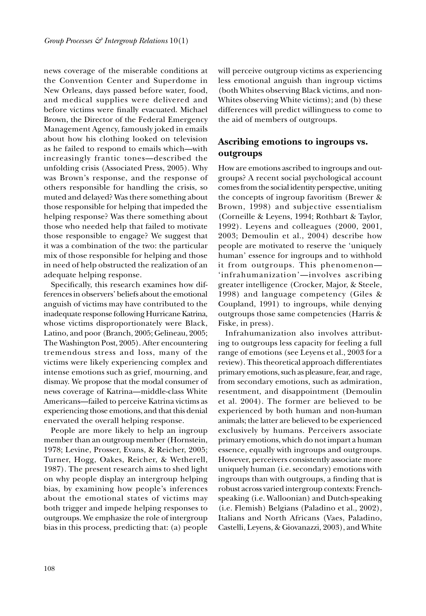news coverage of the miserable conditions at the Convention Center and Superdome in New Orleans, days passed before water, food, and medical supplies were delivered and before victims were finally evacuated. Michael Brown, the Director of the Federal Emergency Management Agency, famously joked in emails about how his clothing looked on television as he failed to respond to emails which—with increasingly frantic tones—described the unfolding crisis (Associated Press, 2005). Why was Brown's response, and the response of others responsible for handling the crisis, so muted and delayed? Was there something about those responsible for helping that impeded the helping response? Was there something about those who needed help that failed to motivate those responsible to engage? We suggest that it was a combination of the two: the particular mix of those responsible for helping and those in need of help obstructed the realization of an adequate helping response.

Specifically, this research examines how differences in observers' beliefs about the emotional anguish of victims may have contributed to the inadequate response following Hurricane Katrina, whose victims disproportionately were Black, Latino, and poor (Branch, 2005; Gelineau, 2005; The Washington Post, 2005). After encountering tremendous stress and loss, many of the victims were likely experiencing complex and intense emotions such as grief, mourning, and dismay. We propose that the modal consumer of news coverage of Katrina—middle-class White Americans—failed to perceive Katrina victims as experiencing those emotions, and that this denial enervated the overall helping response.

People are more likely to help an ingroup member than an outgroup member (Hornstein, 1978; Levine, Prosser, Evans, & Reicher, 2005; Turner, Hogg, Oakes, Reicher, & Wetherell, 1987). The present research aims to shed light on why people display an intergroup helping bias, by examining how people's inferences about the emotional states of victims may both trigger and impede helping responses to outgroups. We emphasize the role of intergroup bias in this process, predicting that: (a) people will perceive outgroup victims as experiencing less emotional anguish than ingroup victims (both Whites observing Black victims, and non-Whites observing White victims); and (b) these differences will predict willingness to come to the aid of members of outgroups.

# **Ascribing emotions to ingroups vs. outgroups**

How are emotions ascribed to ingroups and outgroups? A recent social psychological account comes from the social identity perspective, uniting the concepts of ingroup favoritism (Brewer & Brown, 1998) and subjective essentialism (Corneille & Leyens, 1994; Rothbart & Taylor, 1992). Leyens and colleagues (2000, 2001, 2003; Demoulin et al., 2004) describe how people are motivated to reserve the 'uniquely human' essence for ingroups and to withhold it from outgroups. This phenomenon— 'infrahumanization'—involves ascribing greater intelligence (Crocker, Major, & Steele, 1998) and language competency (Giles & Coupland, 1991) to ingroups, while denying outgroups those same competencies (Harris & Fiske, in press).

Infrahumanization also involves attributing to outgroups less capacity for feeling a full range of emotions (see Leyens et al., 2003 for a review). This theoretical approach differentiates primary emotions, such as pleasure, fear, and rage, from secondary emotions, such as admiration, resentment, and disappointment (Demoulin et al. 2004). The former are believed to be experienced by both human and non-human animals; the latter are believed to be experienced exclusively by humans. Perceivers associate primary emotions, which do not impart a human essence, equally with ingroups and outgroups. However, perceivers consistently associate more uniquely human (i.e. secondary) emotions with ingroups than with outgroups, a finding that is robust across varied intergroup contexts: Frenchspeaking (i.e. Walloonian) and Dutch-speaking (i.e. Flemish) Belgians (Paladino et al., 2002), Italians and North Africans (Vaes, Paladino, Castelli, Leyens, & Giovanazzi, 2003), and White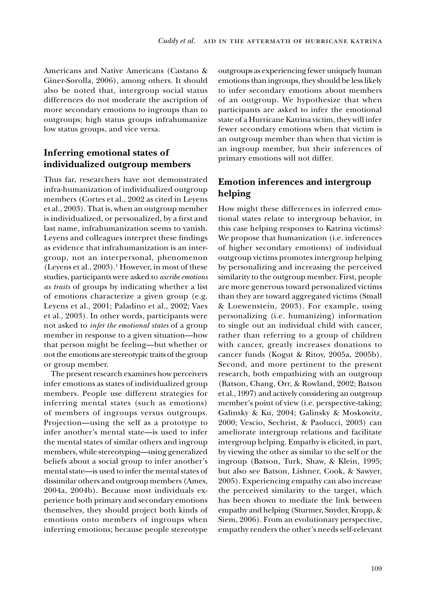Americans and Native Americans (Castano & Giner-Sorolla, 2006), among others. It should also be noted that, intergroup social status differences do not moderate the ascription of more secondary emotions to ingroups than to outgroups; high status groups infrahumanize low status groups, and vice versa.

# **Inferring emotional states of individualized outgroup members**

Thus far, researchers have not demonstrated infra-humanization of individualized outgroup members (Cortes et al., 2002 as cited in Leyens et al., 2003). That is, when an outgroup member is individualized, or personalized, by a first and last name, infrahumanization seems to vanish. Leyens and colleagues interpret these findings as evidence that infrahumanization is an intergroup, not an interpersonal, phenomenon  $(Leyens et al., 2003).<sup>1</sup> However, in most of these$ studies, participants were asked to *ascribe emotions as traits* of groups by indicating whether a list of emotions characterize a given group (e.g. Leyens et al., 2001; Paladino et al., 2002; Vaes et al., 2003). In other words, participants were not asked to *infer the emotional states* of a group member in response to a given situation—how that person might be feeling—but whether or not the emotions are stereotypic traits of the group or group member.

The present research examines how perceivers infer emotions as states of individualized group members. People use different strategies for inferring mental states (such as emotions) of members of ingroups versus outgroups. Projection—using the self as a prototype to infer another's mental state—is used to infer the mental states of similar others and ingroup members, while stereotyping—using generalized beliefs about a social group to infer another's mental state—is used to infer the mental states of dissimilar others and outgroup members (Ames, 2004a, 2004b). Because most individuals experience both primary and secondary emotions themselves, they should project both kinds of emotions onto members of ingroups when inferring emotions; because people stereotype outgroups as experiencing fewer uniquely human emotions than ingroups, they should be less likely to infer secondary emotions about members of an outgroup. We hypothesize that when participants are asked to infer the emotional state of a Hurricane Katrina victim, they will infer fewer secondary emotions when that victim is an outgroup member than when that victim is an ingroup member, but their inferences of primary emotions will not differ.

# **Emotion inferences and intergroup helping**

How might these differences in inferred emotional states relate to intergroup behavior, in this case helping responses to Katrina victims? We propose that humanization (i.e. inferences of higher secondary emotions) of individual outgroup victims promotes intergroup helping by personalizing and increasing the perceived similarity to the outgroup member. First, people are more generous toward personalized victims than they are toward aggregated victims (Small & Loewenstein, 2003). For example, using personalizing (i.e. humanizing) information to single out an individual child with cancer, rather than referring to a group of children with cancer, greatly increases donations to cancer funds (Kogut & Ritov, 2005a, 2005b). Second, and more pertinent to the present research, both empathizing with an outgroup (Batson, Chang, Orr, & Rowland, 2002; Batson et al., 1997) and actively considering an outgroup member's point of view (i.e. perspective-taking; Galinsky & Ku, 2004; Galinsky & Moskowitz, 2000; Vescio, Sechrist, & Paolucci, 2003) can ameliorate intergroup relations and facilitate intergroup helping. Empathy is elicited, in part, by viewing the other as similar to the self or the ingroup (Batson, Turk, Shaw, & Klein, 1995; but also see Batson, Lishner, Cook, & Sawyer, 2005). Experiencing empathy can also increase the perceived similarity to the target, which has been shown to mediate the link between empathy and helping (Sturmer, Snyder, Kropp, & Siem, 2006). From an evolutionary perspective, empathy renders the other's needs self-relevant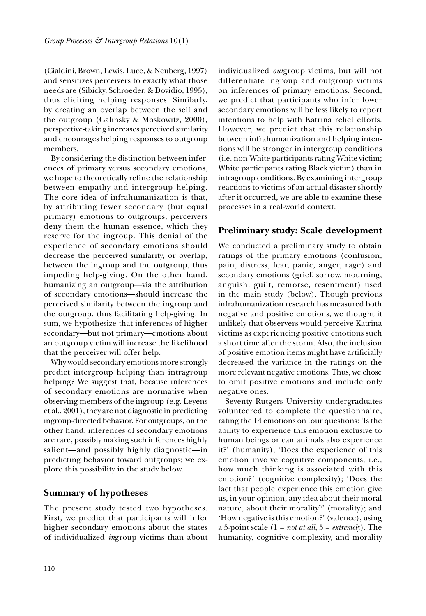(Cialdini, Brown, Lewis, Luce, & Neuberg, 1997) and sensitizes perceivers to exactly what those needs are (Sibicky, Schroeder, & Dovidio, 1995), thus eliciting helping responses. Similarly, by creating an overlap between the self and the outgroup (Galinsky & Moskowitz, 2000), perspective-taking increases perceived similarity and encourages helping responses to outgroup members.

By considering the distinction between inferences of primary versus secondary emotions, we hope to theoretically refine the relationship between empathy and intergroup helping. The core idea of infrahumanization is that, by attributing fewer secondary (but equal primary) emotions to outgroups, perceivers deny them the human essence, which they reserve for the ingroup. This denial of the experience of secondary emotions should decrease the perceived similarity, or overlap, between the ingroup and the outgroup, thus impeding help-giving. On the other hand, humanizing an outgroup—via the attribution of secondary emotions—should increase the perceived similarity between the ingroup and the outgroup, thus facilitating help-giving. In sum, we hypothesize that inferences of higher secondary—but not primary—emotions about an outgroup victim will increase the likelihood that the perceiver will offer help.

Why would secondary emotions more strongly predict intergroup helping than intragroup helping? We suggest that, because inferences of secondary emotions are normative when observing members of the ingroup (e.g. Leyens et al., 2001), they are not diagnostic in predicting ingroup-directed behavior. For outgroups, on the other hand, inferences of secondary emotions are rare, possibly making such inferences highly salient—and possibly highly diagnostic—in predicting behavior toward outgroups; we explore this possibility in the study below.

#### **Summary of hypotheses**

The present study tested two hypotheses. First, we predict that participants will infer higher secondary emotions about the states of individualized *in*group victims than about individualized *out*group victims, but will not differentiate ingroup and outgroup victims on inferences of primary emotions. Second, we predict that participants who infer lower secondary emotions will be less likely to report intentions to help with Katrina relief efforts. However, we predict that this relationship between infrahumanization and helping intentions will be stronger in intergroup conditions (i.e. non-White participants rating White victim; White participants rating Black victim) than in intragroup conditions. By examining intergroup reactions to victims of an actual disaster shortly after it occurred, we are able to examine these processes in a real-world context.

## **Preliminary study: Scale development**

We conducted a preliminary study to obtain ratings of the primary emotions (confusion, pain, distress, fear, panic, anger, rage) and secondary emotions (grief, sorrow, mourning, anguish, guilt, remorse, resentment) used in the main study (below). Though previous infrahumanization research has measured both negative and positive emotions, we thought it unlikely that observers would perceive Katrina victims as experiencing positive emotions such a short time after the storm. Also, the inclusion of positive emotion items might have artificially decreased the variance in the ratings on the more relevant negative emotions. Thus, we chose to omit positive emotions and include only negative ones.

Seventy Rutgers University undergraduates volunteered to complete the questionnaire, rating the 14 emotions on four questions: 'Is the ability to experience this emotion exclusive to human beings or can animals also experience it?' (humanity); 'Does the experience of this emotion involve cognitive components, i.e., how much thinking is associated with this emotion?' (cognitive complexity); 'Does the fact that people experience this emotion give us, in your opinion, any idea about their moral nature, about their morality?' (morality); and 'How negative is this emotion?' (valence), using a 5-point scale (1 = *not at all*, 5 = *extremely*). The humanity, cognitive complexity, and morality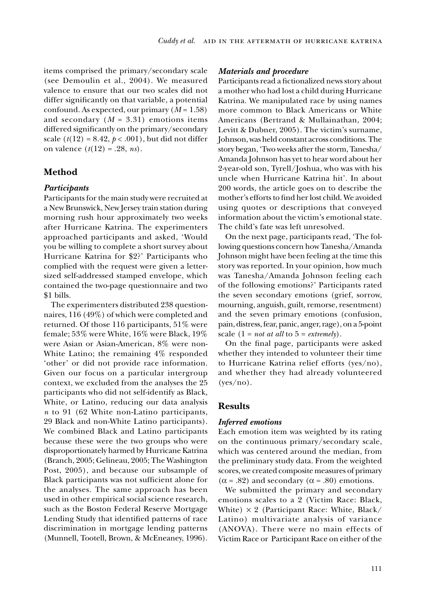items comprised the primary/secondary scale (see Demoulin et al., 2004). We measured valence to ensure that our two scales did not differ significantly on that variable, a potential confound. As expected, our primary (*M* = 1.58) and secondary  $(M = 3.31)$  emotions items differed significantly on the primary/secondary scale ( $t(12) = 8.42, p < .001$ ), but did not differ on valence (*t*(12) = .28, *ns*).

## **Method**

#### *Participants*

Participants for the main study were recruited at a New Brunswick, New Jersey train station during morning rush hour approximately two weeks after Hurricane Katrina. The experimenters approached participants and asked, 'Would you be willing to complete a short survey about Hurricane Katrina for \$2?' Participants who complied with the request were given a lettersized self-addressed stamped envelope, which contained the two-page questionnaire and two \$1 bills.

The experimenters distributed 238 questionnaires, 116 (49%) of which were completed and returned. Of those 116 participants, 51% were female; 53% were White, 16% were Black, 19% were Asian or Asian-American, 8% were non-White Latino; the remaining 4% responded 'other' or did not provide race information. Given our focus on a particular intergroup context, we excluded from the analyses the 25 participants who did not self-identify as Black, White, or Latino, reducing our data analysis *n* to 91 (62 White non-Latino participants, 29 Black and non-White Latino participants). We combined Black and Latino participants because these were the two groups who were disproportionately harmed by Hurricane Katrina (Branch, 2005; Gelineau, 2005; The Washington Post, 2005), and because our subsample of Black participants was not sufficient alone for the analyses. The same approach has been used in other empirical social science research, such as the Boston Federal Reserve Mortgage Lending Study that identified patterns of race discrimination in mortgage lending patterns (Munnell, Tootell, Brown, & McEneaney, 1996).

#### *Materials and procedure*

Participants read a fictionalized news story about a mother who had lost a child during Hurricane Katrina. We manipulated race by using names more common to Black Americans or White Americans (Bertrand & Mullainathan, 2004; Levitt & Dubner, 2005). The victim's surname, Johnson, was held constant across conditions. The story began, 'Two weeks after the storm, Tanesha/ Amanda Johnson has yet to hear word about her 2-year-old son, Tyrell/Joshua, who was with his uncle when Hurricane Katrina hit'. In about 200 words, the article goes on to describe the mother's efforts to find her lost child. We avoided using quotes or descriptions that conveyed information about the victim's emotional state. The child's fate was left unresolved.

On the next page, participants read, 'The following questions concern how Tanesha/Amanda Johnson might have been feeling at the time this story was reported. In your opinion, how much was Tanesha/Amanda Johnson feeling each of the following emotions?' Participants rated the seven secondary emotions (grief, sorrow, mourning, anguish, guilt, remorse, resentment) and the seven primary emotions (confusion, pain, distress, fear, panic, anger, rage), on a 5-point scale  $(1 = not at all to 5 = extremely)$ .

On the final page, participants were asked whether they intended to volunteer their time to Hurricane Katrina relief efforts (yes/no), and whether they had already volunteered (yes/no).

#### **Results**

#### *Inferred emotions*

Each emotion item was weighted by its rating on the continuous primary/secondary scale, which was centered around the median, from the preliminary study data. From the weighted scores, we created composite measures of primary  $(\alpha = .82)$  and secondary  $(\alpha = .80)$  emotions.

We submitted the primary and secondary emotions scales to a 2 (Victim Race: Black, White)  $\times$  2 (Participant Race: White, Black/ Latino) multivariate analysis of variance (ANOVA). There were no main effects of Victim Race or Participant Race on either of the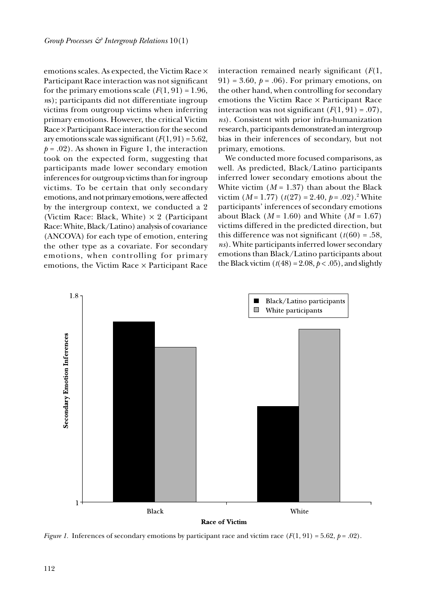emotions scales. As expected, the Victim Race × Participant Race interaction was not significant for the primary emotions scale  $(F(1, 91) = 1.96$ , *n*s); participants did not differentiate ingroup victims from outgroup victims when inferring primary emotions. However, the critical Victim Race × Participant Race interaction for the second ary emotions scale was significant  $(F(1, 91) = 5.62)$ ,  $p = .02$ ). As shown in Figure 1, the interaction took on the expected form, suggesting that participants made lower secondary emotion inferences for outgroup victims than for ingroup victims. To be certain that only secondary emotions, and not primary emotions, were affected by the intergroup context, we conducted a 2 (Victim Race: Black, White)  $\times$  2 (Participant Race: White, Black/Latino) analysis of covariance (ANCOVA) for each type of emotion, entering the other type as a covariate. For secondary emotions, when controlling for primary emotions, the Victim Race × Participant Race

interaction remained nearly significant  $(F(1,$ 91) = 3.60,  $p = .06$ ). For primary emotions, on the other hand, when controlling for secondary emotions the Victim Race × Participant Race interaction was not significant  $(F(1, 91) = .07)$ , *ns*). Consistent with prior infra-humanization research, participants demonstrated an intergroup bias in their inferences of secondary, but not primary, emotions.

We conducted more focused comparisons, as well. As predicted, Black/Latino participants inferred lower secondary emotions about the White victim  $(M = 1.37)$  than about the Black victim  $(M=1.77)$   $(t(27) = 2.40, p = .02)$ .<sup>2</sup> White participants' inferences of secondary emotions about Black ( $M = 1.60$ ) and White ( $M = 1.67$ ) victims differed in the predicted direction, but this difference was not significant  $(t(60) = .58,$ *ns*). White participants inferred lower secondary emotions than Black/Latino participants about the Black victim  $(t(48) = 2.08, p < .05)$ , and slightly



*Figure 1.* Inferences of secondary emotions by participant race and victim race  $(F(1, 91) = 5.62, p = .02)$ .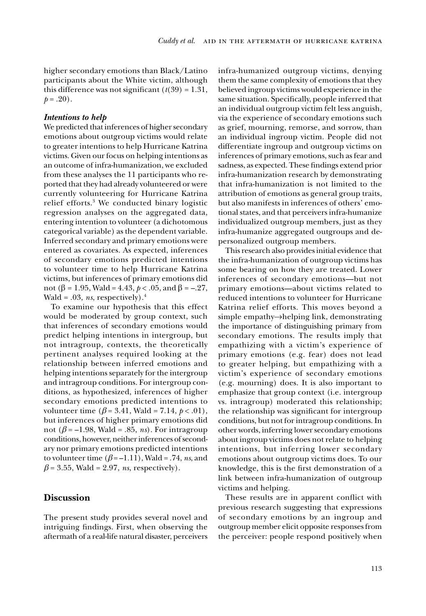higher secondary emotions than Black/Latino participants about the White victim, although this difference was not significant  $(t(39) = 1.31$ ,  $p = .20$ ).

#### *Intentions to help*

We predicted that inferences of higher secondary emotions about outgroup victims would relate to greater intentions to help Hurricane Katrina victims. Given our focus on helping intentions as an outcome of infra-humanization, we excluded from these analyses the 11 participants who reported that they had already volunteered or were currently volunteering for Hurricane Katrina relief efforts.3 We conducted binary logistic regression analyses on the aggregated data, entering intention to volunteer (a dichotomous categorical variable) as the dependent variable. Inferred secondary and primary emotions were entered as covariates. As expected, inferences of secondary emotions predicted intentions to volunteer time to help Hurricane Katrina victims, but inferences of primary emotions did not (β = 1.95, Wald = 4.43,  $p < .05$ , and β = -.27, Wald =  $.03$ , *ns*, respectively).<sup>4</sup>

To examine our hypothesis that this effect would be moderated by group context, such that inferences of secondary emotions would predict helping intentions in intergroup, but not intragroup, contexts, the theoretically pertinent analyses required looking at the relationship between inferred emotions and helping intentions separately for the intergroup and intragroup conditions. For intergroup conditions, as hypothesized, inferences of higher secondary emotions predicted intentions to volunteer time ( $\beta$  = 3.41, Wald = 7.14,  $p < .01$ ), but inferences of higher primary emotions did not ( $\beta$  = –1.98, Wald = .85, *ns*). For intragroup conditions, however, neither inferences of secondary nor primary emotions predicted intentions to volunteer time  $(\beta = -1.11)$ , Wald = .74, *ns*, and  $\beta$  = 3.55, Wald = 2.97, *ns*, respectively).

### **Discussion**

The present study provides several novel and intriguing findings. First, when observing the aftermath of a real-life natural disaster, perceivers

infra-humanized outgroup victims, denying them the same complexity of emotions that they believed ingroup victims would experience in the same situation. Specifically, people inferred that an individual outgroup victim felt less anguish, via the experience of secondary emotions such as grief, mourning, remorse, and sorrow, than an individual ingroup victim. People did not differentiate ingroup and outgroup victims on inferences of primary emotions, such as fear and sadness, as expected. These findings extend prior infra-humanization research by demonstrating that infra-humanization is not limited to the attribution of emotions as general group traits, but also manifests in inferences of others' emotional states, and that perceivers infra-humanize individualized outgroup members, just as they infra-humanize aggregated outgroups and depersonalized outgroup members.

This research also provides initial evidence that the infra-humanization of outgroup victims has some bearing on how they are treated. Lower inferences of secondary emotions—but not primary emotions—about victims related to reduced intentions to volunteer for Hurricane Katrina relief efforts. This moves beyond a simple empathy→helping link, demonstrating the importance of distinguishing primary from secondary emotions. The results imply that empathizing with a victim's experience of primary emotions (e.g. fear) does not lead to greater helping, but empathizing with a victim's experience of secondary emotions (e.g. mourning) does. It is also important to emphasize that group context (i.e. intergroup vs. intragroup) moderated this relationship; the relationship was significant for intergroup conditions, but not for intragroup conditions. In other words, inferring lower secondary emotions about ingroup victims does not relate to helping intentions, but inferring lower secondary emotions about outgroup victims does. To our knowledge, this is the first demonstration of a link between infra-humanization of outgroup victims and helping.

These results are in apparent conflict with previous research suggesting that expressions of secondary emotions by an ingroup and outgroup member elicit opposite responses from the perceiver: people respond positively when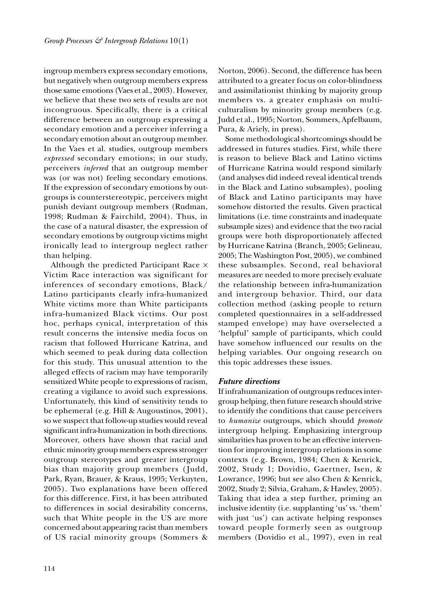ingroup members express secondary emotions, but negatively when outgroup members express those same emotions (Vaes et al., 2003). However, we believe that these two sets of results are not incongruous. Specifically, there is a critical difference between an outgroup expressing a secondary emotion and a perceiver inferring a secondary emotion about an outgroup member. In the Vaes et al. studies, outgroup members *expressed* secondary emotions; in our study, perceivers *inferred* that an outgroup member was (or was not) feeling secondary emotions. If the expression of secondary emotions by outgroups is counterstereotypic, perceivers might punish deviant outgroup members (Rudman, 1998; Rudman & Fairchild, 2004). Thus, in the case of a natural disaster, the expression of secondary emotions by outgroup victims might ironically lead to intergroup neglect rather than helping.

Although the predicted Participant Race × Victim Race interaction was significant for inferences of secondary emotions, Black/ Latino participants clearly infra-humanized White victims more than White participants infra-humanized Black victims. Our post hoc, perhaps cynical, interpretation of this result concerns the intensive media focus on racism that followed Hurricane Katrina, and which seemed to peak during data collection for this study. This unusual attention to the alleged effects of racism may have temporarily sensitized White people to expressions of racism, creating a vigilance to avoid such expressions. Unfortunately, this kind of sensitivity tends to be ephemeral (e.g. Hill & Augoustinos, 2001), so we suspect that follow-up studies would reveal significant infra-humanization in both directions. Moreover, others have shown that racial and ethnic minority group members express stronger outgroup stereotypes and greater intergroup bias than majority group members ( Judd, Park, Ryan, Brauer, & Kraus, 1995; Verkuyten, 2005). Two explanations have been offered for this difference. First, it has been attributed to differences in social desirability concerns, such that White people in the US are more concerned about appearing racist than members of US racial minority groups (Sommers &

Norton, 2006). Second, the difference has been attributed to a greater focus on color-blindness and assimilationist thinking by majority group members vs. a greater emphasis on multiculturalism by minority group members (e.g. Judd et al., 1995; Norton, Sommers, Apfelbaum, Pura, & Ariely, in press).

Some methodological shortcomings should be addressed in futures studies. First, while there is reason to believe Black and Latino victims of Hurricane Katrina would respond similarly (and analyses did indeed reveal identical trends in the Black and Latino subsamples), pooling of Black and Latino participants may have somehow distorted the results. Given practical limitations (i.e. time constraints and inadequate subsample sizes) and evidence that the two racial groups were both disproportionately affected by Hurricane Katrina (Branch, 2005; Gelineau, 2005; The Washington Post, 2005), we combined these subsamples. Second, real behavioral measures are needed to more precisely evaluate the relationship between infra-humanization and intergroup behavior. Third, our data collection method (asking people to return completed questionnaires in a self-addressed stamped envelope) may have overselected a 'helpful' sample of participants, which could have somehow influenced our results on the helping variables. Our ongoing research on this topic addresses these issues.

#### *Future directions*

If infrahumanization of outgroups reduces intergroup helping, then future research should strive to identify the conditions that cause perceivers to *humanize* outgroups, which should *promote* intergroup helping. Emphasizing intergroup similarities has proven to be an effective intervention for improving intergroup relations in some contexts (e.g. Brown, 1984; Chen & Kenrick, 2002, Study 1; Dovidio, Gaertner, Isen, & Lowrance, 1996; but see also Chen & Kenrick, 2002, Study 2; Silvia, Graham, & Hawley, 2005). Taking that idea a step further, priming an inclusive identity (i.e. supplanting 'us' vs. 'them' with just 'us') can activate helping responses toward people formerly seen as outgroup members (Dovidio et al., 1997), even in real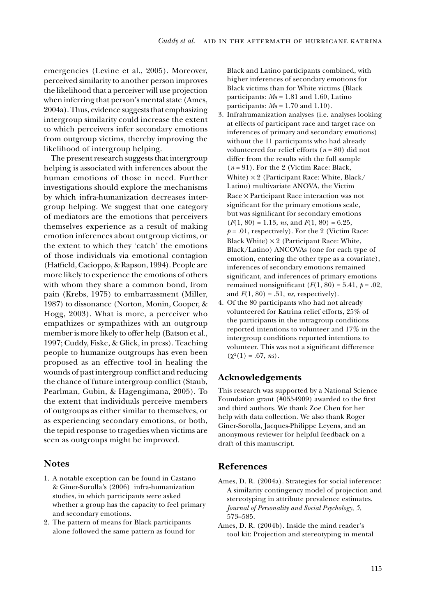emergencies (Levine et al., 2005). Moreover, perceived similarity to another person improves the likelihood that a perceiver will use projection when inferring that person's mental state (Ames, 2004a). Thus, evidence suggests that emphasizing intergroup similarity could increase the extent to which perceivers infer secondary emotions from outgroup victims, thereby improving the likelihood of intergroup helping.

The present research suggests that intergroup helping is associated with inferences about the human emotions of those in need. Further investigations should explore the mechanisms by which infra-humanization decreases intergroup helping. We suggest that one category of mediators are the emotions that perceivers themselves experience as a result of making emotion inferences about outgroup victims, or the extent to which they 'catch' the emotions of those individuals via emotional contagion (Hatfield, Cacioppo, & Rapson, 1994). People are more likely to experience the emotions of others with whom they share a common bond, from pain (Krebs, 1975) to embarrassment (Miller, 1987) to dissonance (Norton, Monin, Cooper, & Hogg, 2003). What is more, a perceiver who empathizes or sympathizes with an outgroup member is more likely to offer help (Batson et al., 1997; Cuddy, Fiske, & Glick, in press). Teaching people to humanize outgroups has even been proposed as an effective tool in healing the wounds of past intergroup conflict and reducing the chance of future intergroup conflict (Staub, Pearlman, Gubin, & Hagengimana, 2005). To the extent that individuals perceive members of outgroups as either similar to themselves, or as experiencing secondary emotions, or both, the tepid response to tragedies when victims are seen as outgroups might be improved.

#### **Notes**

- 1. A notable exception can be found in Castano & Giner-Sorolla's (2006) infra-humanization studies, in which participants were asked whether a group has the capacity to feel primary and secondary emotions.
- 2. The pattern of means for Black participants alone followed the same pattern as found for

Black and Latino participants combined, with higher inferences of secondary emotions for Black victims than for White victims (Black participants: *M*s = 1.81 and 1.60, Latino participants: *M*s = 1.70 and 1.10).

- 3. Infrahumanization analyses (i.e. analyses looking at effects of participant race and target race on inferences of primary and secondary emotions) without the 11 participants who had already volunteered for relief efforts (*n* = 80) did not differ from the results with the full sample (*n* = 91). For the 2 (Victim Race: Black, White)  $\times$  2 (Participant Race: White, Black/ Latino) multivariate ANOVA, the Victim Race × Participant Race interaction was not significant for the primary emotions scale, but was significant for secondary emotions  $(F(1, 80) = 1.13, ns, and F(1, 80) = 6.25,$  $p = .01$ , respectively). For the 2 (Victim Race: Black White)  $\times$  2 (Participant Race: White, Black/Latino) ANCOVAs (one for each type of emotion, entering the other type as a covariate), inferences of secondary emotions remained significant, and inferences of primary emotions remained nonsignificant  $(F(1, 80) = 5.41, p = .02,$ and  $F(1, 80) = .51$ , *ns*, respectively).
- 4. Of the 80 participants who had not already volunteered for Katrina relief efforts, 25% of the participants in the intragroup conditions reported intentions to volunteer and 17% in the intergroup conditions reported intentions to volunteer. This was not a significant difference  $(\chi^2(1) = .67, ns)$ .

## **Acknowledgements**

This research was supported by a National Science Foundation grant (#0554909) awarded to the first and third authors. We thank Zoe Chen for her help with data collection. We also thank Roger Giner-Sorolla, Jacques-Philippe Leyens, and an anonymous reviewer for helpful feedback on a draft of this manuscript.

#### **References**

- Ames, D. R. (2004a). Strategies for social inference: A similarity contingency model of projection and stereotyping in attribute prevalence estimates. *Journal of Personality and Social Psychology*, *5*, 573–585.
- Ames, D. R. (2004b). Inside the mind reader's tool kit: Projection and stereotyping in mental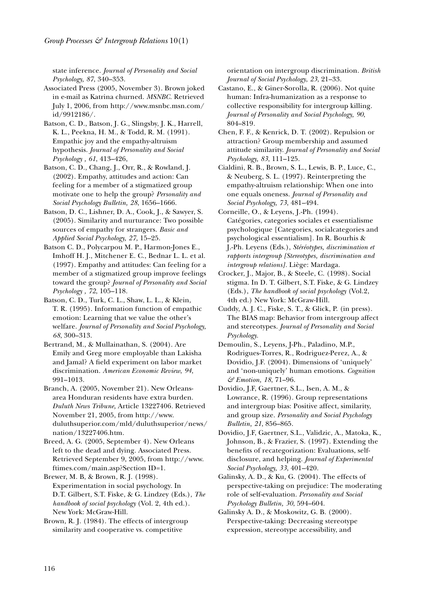state inference. *Journal of Personality and Social Psychology, 87*, 340–353.

Associated Press (2005, November 3). Brown joked in e-mail as Katrina churned. *MSNBC.* Retrieved July 1, 2006, from http://www.msnbc.msn.com/ id/9912186/.

- Batson, C. D., Batson, J. G., Slingsby, J. K., Harrell, K. L., Peekna, H. M., & Todd, R. M. (1991). Empathic joy and the empathy-altruism hypothesis. *Journal of Personality and Social Psychology , 61*, 413–426,
- Batson, C. D., Chang, J., Orr, R., & Rowland, J. (2002). Empathy, attitudes and action: Can feeling for a member of a stigmatized group motivate one to help the group? *Personality and Social Psychology Bulletin, 28*, 1656–1666.

Batson, D. C., Lishner, D. A., Cook, J., & Sawyer, S. (2005). Similarity and nurturance: Two possible sources of empathy for strangers. *Basic and Applied Social Psychology, 27,* 15–25.

Batson C. D., Polycarpou M. P., Harmon-Jones E., Imhoff H. J., Mitchener E. C., Bednar L. L. et al. (1997). Empathy and attitudes: Can feeling for a member of a stigmatized group improve feelings toward the group? *Journal of Personality and Social Psychology , 72*, 105–118.

Batson, C. D., Turk, C. L., Shaw, L. L., & Klein, T. R. (1995). Information function of empathic emotion: Learning that we value the other's welfare. *Journal of Personality and Social Psychology, 68*, 300–313.

Bertrand, M., & Mullainathan, S. (2004). Are Emily and Greg more employable than Lakisha and Jamal? A field experiment on labor market discrimination. *American Economic Review*, *94*, 991–1013.

Branch, A. (2005, November 21). New Orleansarea Honduran residents have extra burden. *Duluth News Tribune,* Article 13227406*.* Retrieved November 21, 2005, from http://www. duluthsuperior.com/mld/duluthsuperior/news/ nation/13227406.htm.

Breed, A. G. (2005, September 4). New Orleans left to the dead and dying. Associated Press. Retrieved September 9, 2005, from http://www. ftimes.com/main.asp?Section ID=1.

Brewer, M. B, & Brown, R. J. (1998). Experimentation in social psychology. In D.T. Gilbert, S.T. Fiske, & G. Lindzey (Eds.), *The handbook of social psychology* (Vol. 2, 4th ed.). New York: McGraw-Hill.

Brown, R. J. (1984). The effects of intergroup similarity and cooperative vs. competitive

orientation on intergroup discrimination. *British Journal of Social Psychology*, *23*, 21–33.

- Castano, E., & Giner-Sorolla, R. (2006). Not quite human: Infra-humanization as a response to collective responsibility for intergroup killing. *Journal of Personality and Social Psychology, 90*, 804–819*.*
- Chen, F. F., & Kenrick, D. T. (2002). Repulsion or attraction? Group membership and assumed attitude similarity. *Journal of Personality and Social Psychology, 83*, 111–125.

Cialdini, R. B., Brown, S. L., Lewis, B. P., Luce, C., & Neuberg, S. L. (1997). Reinterpreting the empathy-altruism relationship: When one into one equals oneness. *Journal of Personality and Social Psychology, 73*, 481–494.

Corneille, O., & Leyens, J.-Ph. (1994). Catégories, categories sociales et essentialisme psychologique [Categories, socialcategories and psychological essentialism]. In R. Bourhis & J.-Ph. Leyens (Eds.), *Stéréotypes, discrimination et rapports intergroup [Stereotypes, discrimination and intergroup relations].* Liège: Mardaga.

Crocker, J., Major, B., & Steele, C. (1998). Social stigma. In D. T. Gilbert, S.T. Fiske, & G. Lindzey (Eds.), *The handbook of social psychology* (Vol.2, 4th ed.) New York: McGraw-Hill.

Cuddy, A. J. C., Fiske, S. T., & Glick, P. (in press). The BIAS map: Behavior from intergroup affect and stereotypes. *Journal of Personality and Social Psychology.*

Demoulin, S., Leyens, J-Ph., Paladino, M.P., Rodrigues-Torres, R., Rodriguez-Perez, A., & Dovidio, J.F. (2004). Dimensions of 'uniquely' and 'non-uniquely' human emotions. *Cognition & Emotion, 18*, 71–96.

Dovidio, J.F, Gaertner, S.L., Isen, A. M., & Lowrance, R. (1996). Group representations and intergroup bias: Positive affect, similarity, and group size. *Personality and Social Psychology Bulletin, 21*, 856–865.

Dovidio, J.F, Gaertner, S.L., Validzic, A., Matoka, K., Johnson, B., & Frazier, S. (1997). Extending the benefits of recategorization: Evaluations, selfdisclosure, and helping. *Journal of Experimental Social Psychology, 33*, 401–420.

Galinsky, A. D., & Ku, G. (2004). The effects of perspective-taking on prejudice: The moderating role of self-evaluation. *Personality and Social Psychology Bulletin, 30*, 594–604.

Galinsky A. D., & Moskowitz, G. B. (2000). Perspective-taking: Decreasing stereotype expression, stereotype accessibility, and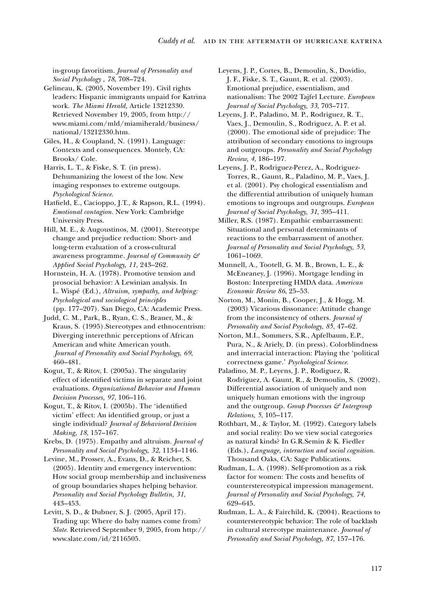in-group favoritism. *Journal of Personality and Social Psychology , 78*, 708–724.

- Gelineau, K. (2005, November 19). Civil rights leaders: Hispanic immigrants unpaid for Katrina work. *The Miami Herald,* Article 13212330. Retrieved November 19, 2005, from http:// www.miami.com/mld/miamiherald/business/ national/13212330.htm.
- Giles, H., & Coupland, N. (1991). Language: Contexts and consequences. Montely, CA: Brooks/ Cole.
- Harris, L. T., & Fiske, S. T. (in press). Dehumanizing the lowest of the low. New imaging responses to extreme outgoups. *Psychological Science*.
- Hatfield, E., Cacioppo, J.T., & Rapson, R.L. (1994). *Emotional contagion*. New York: Cambridge University Press.
- Hill, M. E., & Augoustinos, M. (2001). Stereotype change and prejudice reduction: Short- and long-term evaluation of a cross-cultural awareness programme. *Journal of Community & Applied Social Psychology, 11,* 243–262.
- Hornstein, H. A. (1978). Promotive tension and prosocial behavior: A Lewinian analysis. In L. Wispé (Ed.), *Altruism, sympathy, and helping: Psychological and sociological principles* (pp. 177–207). San Diego, CA: Academic Press.
- Judd, C. M., Park, B., Ryan, C. S., Brauer, M., & Kraus, S. (1995).Stereotypes and ethnocentrism: Diverging interethnic perceptions of African American and white American youth. *Journal of Personality and Social Psychology, 69*, 460–481.
- Kogut, T., & Ritov, I. (2005a). The singularity effect of identified victims in separate and joint evaluations. *Organizational Behavior and Human Decision Processes, 97*, 106–116.
- Kogut, T., & Ritov, I. (2005b). The 'identified victim' effect: An identified group, or just a single individual? *Journal of Behavioral Decision Making, 18*, 157–167.
- Krebs, D. (1975). Empathy and altruism. *Journal of Personality and Social Psychology, 32*, 1134–1146.
- Levine, M., Prosser, A., Evans, D., & Reicher, S. (2005). Identity and emergency intervention: How social group membership and inclusiveness of group boundaries shapes helping behavior. *Personality and Social Psychology Bulletin, 31*, 443–453.
- Levitt, S. D., & Dubner, S. J. (2005, April 17). Trading up: Where do baby names come from? *Slate*. Retrieved September 9, 2005, from http:// www.slate.com/id/2116505.
- Leyens, J. P., Cortes, B., Demoulin, S., Dovidio, J. F., Fiske, S. T., Gaunt, R. et al. (2003). Emotional prejudice, essentialism, and nationalism: The 2002 Tajfel Lecture. *European Journal of Social Psychology, 33*, 703–717.
- Leyens, J. P., Paladino, M. P., Rodriguez, R. T., Vaes, J., Demoulin, S., Rodriguez, A. P. et al. (2000). The emotional side of prejudice: The attribution of secondary emotions to ingroups and outgroups. *Personality and Social Psychology Review, 4*, 186–197.
- Leyens, J. P., Rodriguez-Perez, A., Rodriguez-Torres, R., Gaunt, R., Paladino, M. P., Vaes, J. et al. (2001). Psy chological essentialism and the differential attribution of uniquely human emotions to ingroups and outgroups. *European Journal of Social Psychology, 31*, 395–411.
- Miller, R.S. (1987). Empathic embarrassment: Situational and personal determinants of reactions to the embarrassment of another. *Journal of Personality and Social Psychology, 53*, 1061–1069.
- Munnell, A., Tootell, G. M. B., Brown, L. E., & McEneaney, J. (1996). Mortgage lending in Boston: Interpreting HMDA data. *American Economic Review 86*, 25–53.
- Norton, M., Monin, B., Cooper, J., & Hogg, M. (2003) Vicarious dissonance: Attitude change from the inconsistency of others. *Journal of Personality and Social Psychology*, *85*, 47–62.
- Norton, M.I., Sommers, S.R., Apfelbaum, E.P., Pura, N., & Ariely, D. (in press). Colorblindness and interracial interaction: Playing the 'political correctness game.' *Psychological Science*.
- Paladino, M. P., Leyens, J. P., Rodiguez, R. Rodriguez, A. Gaunt, R., & Demoulin, S. (2002). Differential association of uniquely and non uniquely human emotions with the ingroup and the outgroup. *Group Processes & Intergroup Relations, 5*, 105–117.
- Rothbart, M., & Taylor, M. (1992). Category labels and social reality: Do we view social categories as natural kinds? In G.R.Semin & K. Fiedler (Eds.), *Language, interaction and social cognition*. Thousand Oaks, CA: Sage Publications.
- Rudman, L. A. (1998). Self-promotion as a risk factor for women: The costs and benefits of counterstereotypical impression management. *Journal of Personality and Social Psychology, 74*, 629–645.
- Rudman, L. A., & Fairchild, K. (2004). Reactions to counterstereotypic behavior: The role of backlash in cultural stereotype maintenance. *Journal of Personality and Social Psychology, 87*, 157–176.